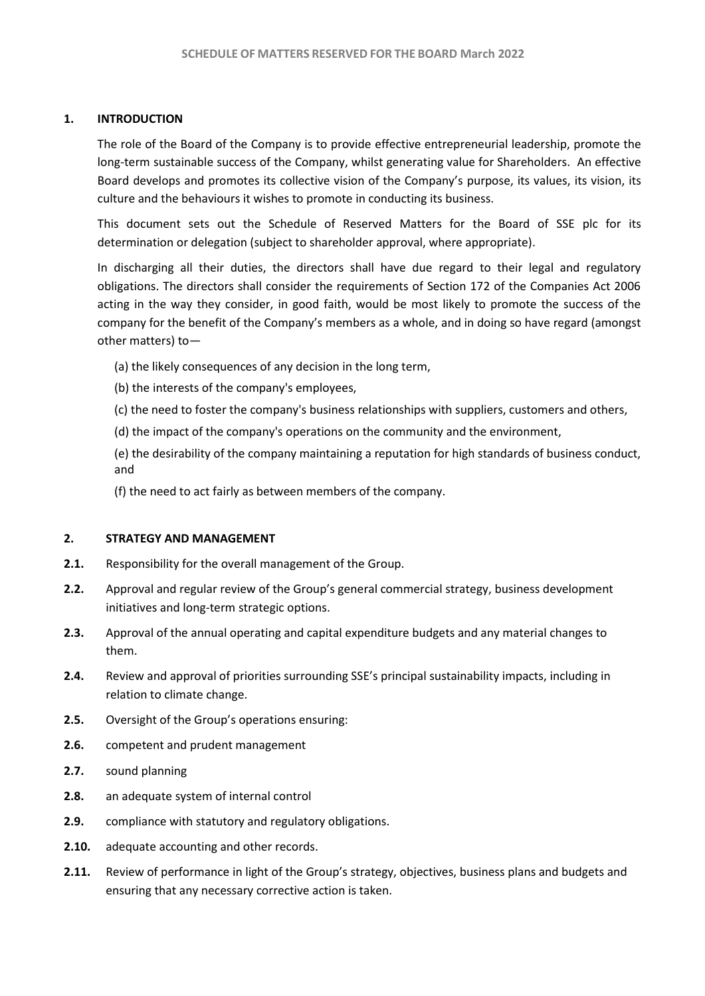### **1. INTRODUCTION**

The role of the Board of the Company is to provide effective entrepreneurial leadership, promote the long-term sustainable success of the Company, whilst generating value for Shareholders. An effective Board develops and promotes its collective vision of the Company's purpose, its values, its vision, its culture and the behaviours it wishes to promote in conducting its business.

This document sets out the Schedule of Reserved Matters for the Board of SSE plc for its determination or delegation (subject to shareholder approval, where appropriate).

In discharging all their duties, the directors shall have due regard to their legal and regulatory obligations. The directors shall consider the requirements of Section 172 of the Companies Act 2006 acting in the way they consider, in good faith, would be most likely to promote the success of the company for the benefit of the Company's members as a whole, and in doing so have regard (amongst other matters) to—

- (a) the likely consequences of any decision in the long term,
- (b) the interests of the company's employees,
- (c) the need to foster the company's business relationships with suppliers, customers and others,
- (d) the impact of the company's operations on the community and the environment,

(e) the desirability of the company maintaining a reputation for high standards of business conduct, and

(f) the need to act fairly as between members of the company.

## **2. STRATEGY AND MANAGEMENT**

- **2.1.** Responsibility for the overall management of the Group.
- **2.2.** Approval and regular review of the Group's general commercial strategy, business development initiatives and long-term strategic options.
- **2.3.** Approval of the annual operating and capital expenditure budgets and any material changes to them.
- **2.4.** Review and approval of priorities surrounding SSE's principal sustainability impacts, including in relation to climate change.
- **2.5.** Oversight of the Group's operations ensuring:
- **2.6.** competent and prudent management
- **2.7.** sound planning
- **2.8.** an adequate system of internal control
- **2.9.** compliance with statutory and regulatory obligations.
- **2.10.** adequate accounting and other records.
- **2.11.** Review of performance in light of the Group's strategy, objectives, business plans and budgets and ensuring that any necessary corrective action is taken.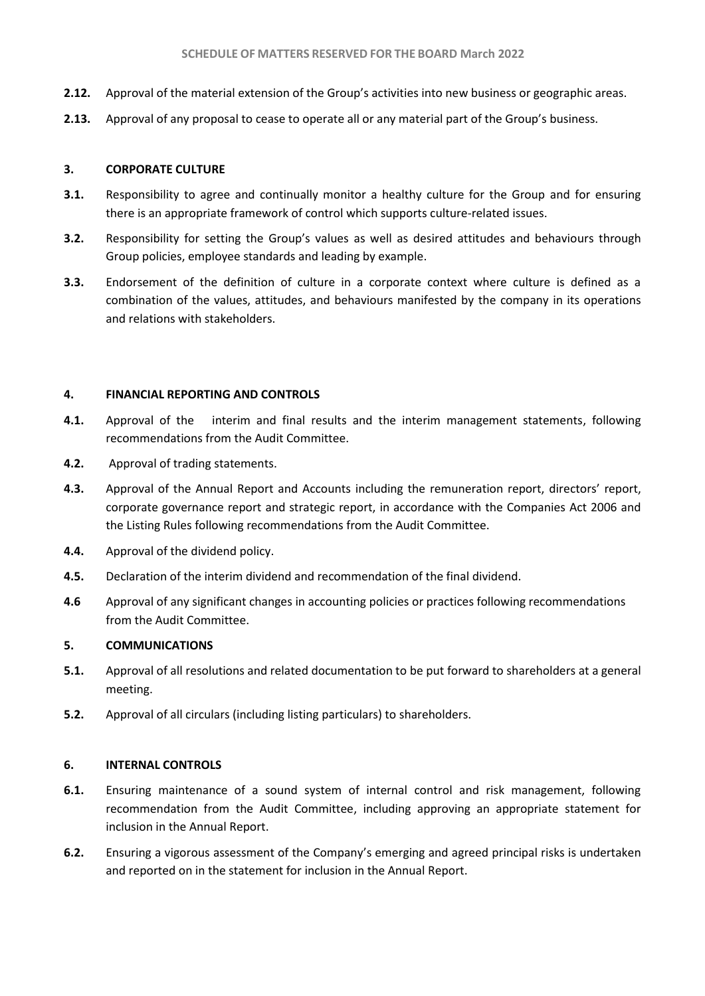- **2.12.** Approval of the material extension of the Group's activities into new business or geographic areas.
- **2.13.** Approval of any proposal to cease to operate all or any material part of the Group's business.

# **3. CORPORATE CULTURE**

- **3.1.** Responsibility to agree and continually monitor a healthy culture for the Group and for ensuring there is an appropriate framework of control which supports culture-related issues.
- **3.2.** Responsibility for setting the Group's values as well as desired attitudes and behaviours through Group policies, employee standards and leading by example.
- **3.3.** Endorsement of the definition of culture in a corporate context where culture is defined as a combination of the values, attitudes, and behaviours manifested by the company in its operations and relations with stakeholders.

# **4. FINANCIAL REPORTING AND CONTROLS**

- **4.1.** Approval of the interim and final results and the interim management statements, following recommendations from the Audit Committee.
- **4.2.** Approval of trading statements.
- **4.3.** Approval of the Annual Report and Accounts including the remuneration report, directors' report, corporate governance report and strategic report, in accordance with the Companies Act 2006 and the Listing Rules following recommendations from the Audit Committee.
- **4.4.** Approval of the dividend policy.
- **4.5.** Declaration of the interim dividend and recommendation of the final dividend.
- **4.6** Approval of any significant changes in accounting policies or practices following recommendations from the Audit Committee.

# **5. COMMUNICATIONS**

- **5.1.** Approval of all resolutions and related documentation to be put forward to shareholders at a general meeting.
- **5.2.** Approval of all circulars (including listing particulars) to shareholders.

### **6. INTERNAL CONTROLS**

- **6.1.** Ensuring maintenance of a sound system of internal control and risk management, following recommendation from the Audit Committee, including approving an appropriate statement for inclusion in the Annual Report.
- **6.2.** Ensuring a vigorous assessment of the Company's emerging and agreed principal risks is undertaken and reported on in the statement for inclusion in the Annual Report.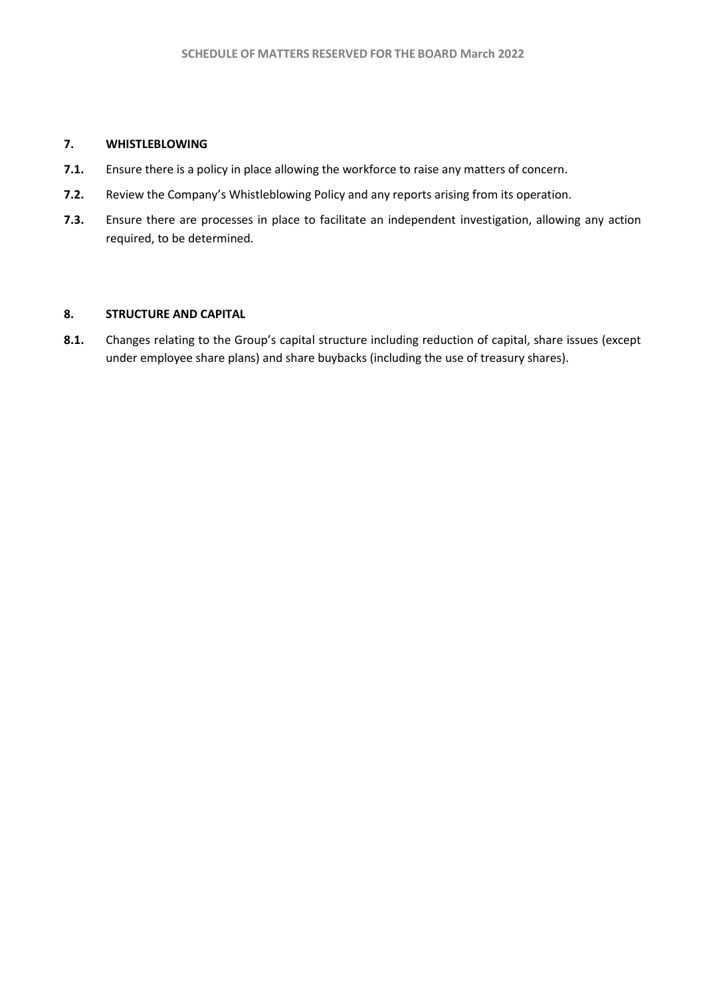### **7. WHISTLEBLOWING**

- **7.1.** Ensure there is a policy in place allowing the workforce to raise any matters of concern.
- **7.2.** Review the Company's Whistleblowing Policy and any reports arising from its operation.
- **7.3.** Ensure there are processes in place to facilitate an independent investigation, allowing any action required, to be determined.

# **8. STRUCTURE AND CAPITAL**

**8.1.** Changes relating to the Group's capital structure including reduction of capital, share issues (except under employee share plans) and share buybacks (including the use of treasury shares).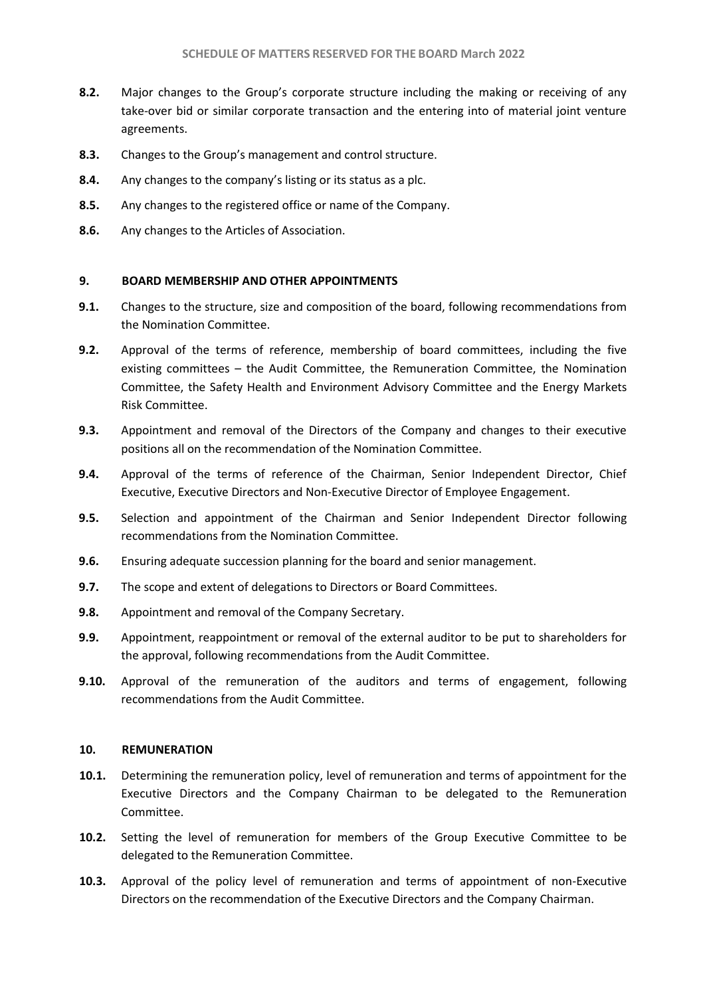- **8.2.** Major changes to the Group's corporate structure including the making or receiving of any take-over bid or similar corporate transaction and the entering into of material joint venture agreements.
- **8.3.** Changes to the Group's management and control structure.
- **8.4.** Any changes to the company's listing or its status as a plc.
- **8.5.** Any changes to the registered office or name of the Company.
- **8.6.** Any changes to the Articles of Association.

### **9. BOARD MEMBERSHIP AND OTHER APPOINTMENTS**

- **9.1.** Changes to the structure, size and composition of the board, following recommendations from the Nomination Committee.
- **9.2.** Approval of the terms of reference, membership of board committees, including the five existing committees – the Audit Committee, the Remuneration Committee, the Nomination Committee, the Safety Health and Environment Advisory Committee and the Energy Markets Risk Committee.
- **9.3.** Appointment and removal of the Directors of the Company and changes to their executive positions all on the recommendation of the Nomination Committee.
- **9.4.** Approval of the terms of reference of the Chairman, Senior Independent Director, Chief Executive, Executive Directors and Non-Executive Director of Employee Engagement.
- **9.5.** Selection and appointment of the Chairman and Senior Independent Director following recommendations from the Nomination Committee.
- **9.6.** Ensuring adequate succession planning for the board and senior management.
- **9.7.** The scope and extent of delegations to Directors or Board Committees.
- **9.8.** Appointment and removal of the Company Secretary.
- **9.9.** Appointment, reappointment or removal of the external auditor to be put to shareholders for the approval, following recommendations from the Audit Committee.
- **9.10.** Approval of the remuneration of the auditors and terms of engagement, following recommendations from the Audit Committee.

### **10. REMUNERATION**

- **10.1.** Determining the remuneration policy, level of remuneration and terms of appointment for the Executive Directors and the Company Chairman to be delegated to the Remuneration Committee.
- **10.2.** Setting the level of remuneration for members of the Group Executive Committee to be delegated to the Remuneration Committee.
- **10.3.** Approval of the policy level of remuneration and terms of appointment of non-Executive Directors on the recommendation of the Executive Directors and the Company Chairman.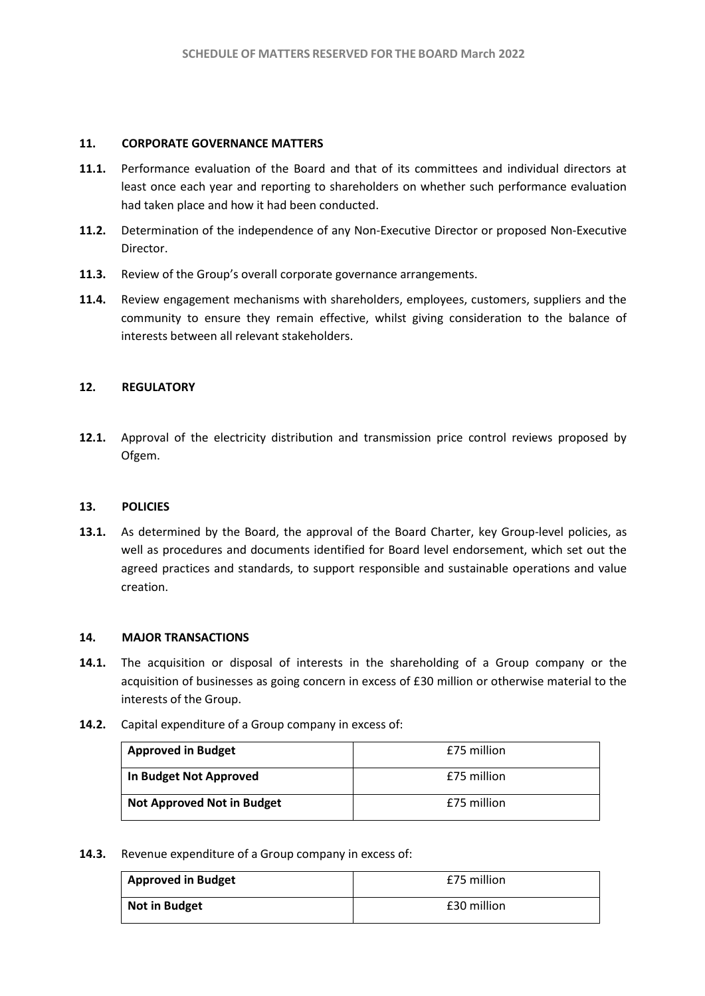### **11. CORPORATE GOVERNANCE MATTERS**

- **11.1.** Performance evaluation of the Board and that of its committees and individual directors at least once each year and reporting to shareholders on whether such performance evaluation had taken place and how it had been conducted.
- **11.2.** Determination of the independence of any Non-Executive Director or proposed Non-Executive Director.
- **11.3.** Review of the Group's overall corporate governance arrangements.
- **11.4.** Review engagement mechanisms with shareholders, employees, customers, suppliers and the community to ensure they remain effective, whilst giving consideration to the balance of interests between all relevant stakeholders.

### **12. REGULATORY**

**12.1.** Approval of the electricity distribution and transmission price control reviews proposed by Ofgem.

### **13. POLICIES**

**13.1.** As determined by the Board, the approval of the Board Charter, key Group-level policies, as well as procedures and documents identified for Board level endorsement, which set out the agreed practices and standards, to support responsible and sustainable operations and value creation.

### **14. MAJOR TRANSACTIONS**

- **14.1.** The acquisition or disposal of interests in the shareholding of a Group company or the acquisition of businesses as going concern in excess of £30 million or otherwise material to the interests of the Group.
- **14.2.** Capital expenditure of a Group company in excess of:

| <b>Approved in Budget</b>         | £75 million |
|-----------------------------------|-------------|
| In Budget Not Approved            | £75 million |
| <b>Not Approved Not in Budget</b> | £75 million |

### **14.3.** Revenue expenditure of a Group company in excess of:

| <b>Approved in Budget</b> | £75 million |
|---------------------------|-------------|
| Not in Budget             | £30 million |